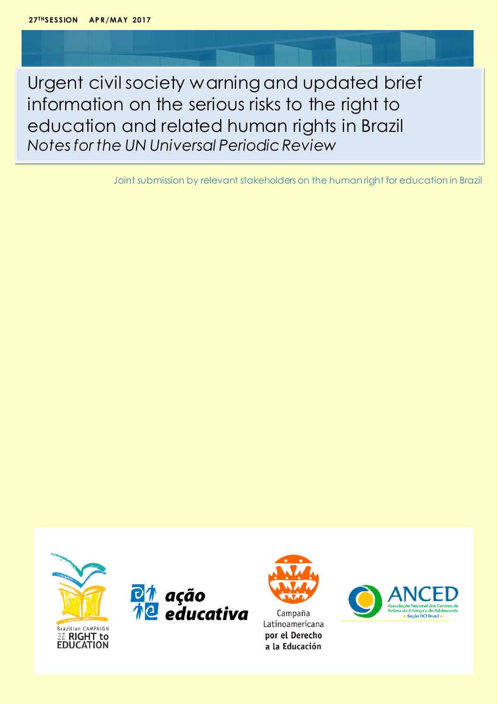Urgent civil society warning and updated brief information on the serious risks to the right to education and related human rights in Brazil *Notes for the UN Universal Periodic Review*

Joint submission by relevant stakeholders on the human right for education in Brazil







Latinoamericana por el Derecho a la Educación

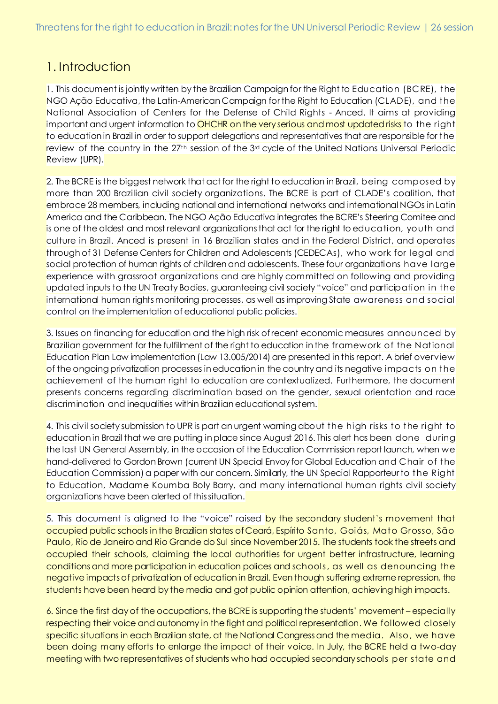### 1. Introduction

1. This document is jointly written by the Brazilian Campaign for the Right to Education (BCRE), the NGO Ação Educativa, the Latin-American Campaign for the Right to Education (CLADE), and the National Association of Centers for the Defense of Child Rights - Anced. It aims at providing important and urgent information to OHCHR on the very serious and most updated risks to the right to education in Brazil in order to support delegations and representatives that are responsible for the review of the country in the  $27<sup>th</sup>$  session of the  $3<sup>rd</sup>$  cycle of the United Nations Universal Periodic Review (UPR).

2. The BCRE is the biggest network that act for the right to education in Brazil, being composed by more than 200 Brazilian civil society organizations. The BCRE is part of CLADE's coalition, that embrace 28 members, including national and international networks and international NGOs in Latin America and the Caribbean. The NGO Ação Educativa integrates the BCRE's Steering Comitee and is one of the oldest and most relevant organizations that act for the right to education, youth and culture in Brazil. Anced is present in 16 Brazilian states and in the Federal District, and operates through of 31 Defense Centers for Children and Adolescents (CEDECAs), who work for legal and social protection of human rights of children and adolescents. These four organizations have large experience with grassroot organizations and are highly committed on following and providing updated inputs to the UN Treaty Bodies, guaranteeing civil society "voice" and participation in the international human rights monitoring processes, as well as improving State awareness and social control on the implementation of educational public policies.

3. Issues on financing for education and the high risk of recent economic measures announced by Brazilian government for the fulfillment of the right to education in the framework of the National Education Plan Law implementation (Law 13.005/2014) are presented in this report. A brief overview of the ongoing privatization processes in education in the country and its negative impacts on the achievement of the human right to education are contextualized. Furthermore, the document presents concerns regarding discrimination based on the gender, sexual orientation and race discrimination and inequalities within Brazilian educational system.

4. This civil society submission to UPR is part an urgent warning about the high risks to the right to education in Brazil that we are putting in place since August 2016. This alert has been done during the last UN General Assembly, in the occasion of the Education Commission report launch, when we hand-delivered to Gordon Brown (current UN Special Envoy for Global Education and Chair of the Education Commission) a paper with our concern. Similarly, the UN Special Rapporteur to the Right to Education, Madame Koumba Boly Barry, and many international human rights civil society organizations have been alerted of this situation.

5. This document is aligned to the "voice" raised by the secondary student's movement that occupied public schools in the Brazilian states of Ceará, Espírito Santo, Goiás, Mato Grosso, São Paulo, Rio de Janeiro and Rio Grande do Sul since November 2015. The students took the streets and occupied their schools, claiming the local authorities for urgent better infrastructure, learning conditionsand more participation in education polices and schools, as well as denouncing the negative impacts of privatization of education in Brazil. Even though suffering extreme repression, the students have been heard by the media and got public opinion attention, achieving high impacts.

6. Since the first day of the occupations, the BCRE is supporting the students' movement – especially respecting their voice and autonomy in the fight and political representation. We followed closely specific situations in each Brazilian state, at the National Congress and the media. Also, we have been doing many efforts to enlarge the impact of their voice. In July, the BCRE held a two-day meeting with two representatives of students who had occupied secondary schools per state and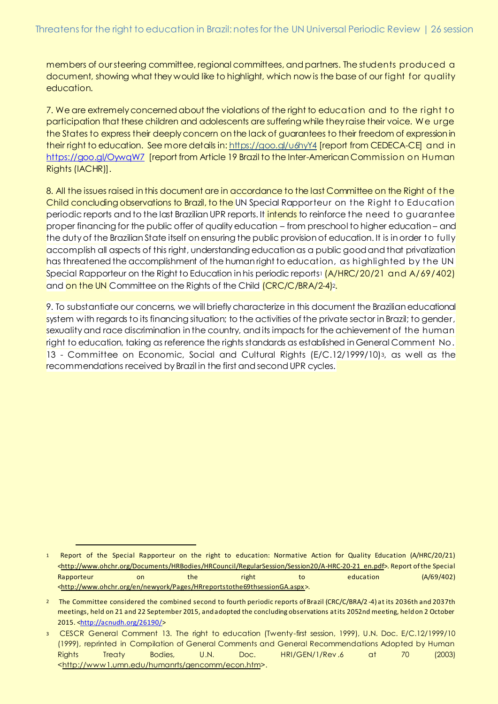members of our steering committee, regional committees, and partners. The students produced a document, showing what they would like to highlight, which now is the base of our fight for quality education.

7. We are extremely concerned about the violations of the right to education and to the right to participation that these children and adolescents are suffering while they raise their voice. We urge the States to express their deeply concern on the lack of guarantees to their freedom of expression in their right to education. See more details in: https://goo.gl/u6hyY4 [report from CEDECA-CE] and in https://goo.gl/OywqW7 [report from Article 19 Brazil to the Inter-American Commission on Human Rights (IACHR)].

8. All the issues raised in this document are in accordance to the last Committee on the Right of the Child concluding observations to Brazil, to the UN Special Rapporteur on the Right to Education periodic reports and to the last Brazilian UPR reports. It intends to reinforce the need to guarantee proper financing for the public offer of quality education – from preschool to higher education – and the duty of the Brazilian State itself on ensuring the public provision of education. It is in order to fully accomplish all aspects of this right, understanding education as a public good and that privatization has threatened the accomplishment of the human right to education, as highlighted by the UN Special Rapporteur on the Right to Education in his periodic reports1  $(A/HRC/20/21$  and  $A/69/402)$ and on the UN Committee on the Rights of the Child *(CRC/C/BRA/2-4)*2.

9. To substantiate our concerns, we will briefly characterize in this document the Brazilian educational system with regards to its financing situation; to the activities of the private sector in Brazil; to gender, sexuality and race discrimination in the country, and its impacts for the achievement of the human right to education, taking as reference the rights standards as established in General Comment No. 13 - Committee on Economic, Social and Cultural Rights (E/C.12/1999/10)3, as well as the recommendations received by Brazil in the first and second UPR cycles.

<sup>1</sup> Report of the Special Rapporteur on the right to education: Normative Action for Quality Education (A/HRC/20/21) <http://www.ohchr.org/Documents/HRBodies/HRCouncil/RegularSession/Session20/A-HRC-20-21\_en.pdf>. Report of the Special Rapporteur on the right to education (A/69/402) <http://www.ohchr.org/en/newyork/Pages/HRreportstothe69thsessionGA.aspx>.

<sup>2</sup> The Committee considered the combined second to fourth periodic reports of Brazil (CRC/C/BRA/2 -4) at its 2036th and 2037th meetings, held on 21 and 22 September 2015, and adopted the concluding observations at its 2052nd meeting, held on 2 October 2015. <http://acnudh.org/26190/>

<sup>3</sup> CESCR General Comment 13. The right to education (Twenty-first session, 1999), U.N. Doc. E/C.12/1999/10 (1999), reprinted in Compilation of General Comments and General Recommendations Adopted by Human Rights Treaty Bodies, U.N. Doc. HRI/GEN/1/Rev.6 at 70 (2003) <http://www1.umn.edu/humanrts/gencomm/econ.htm>.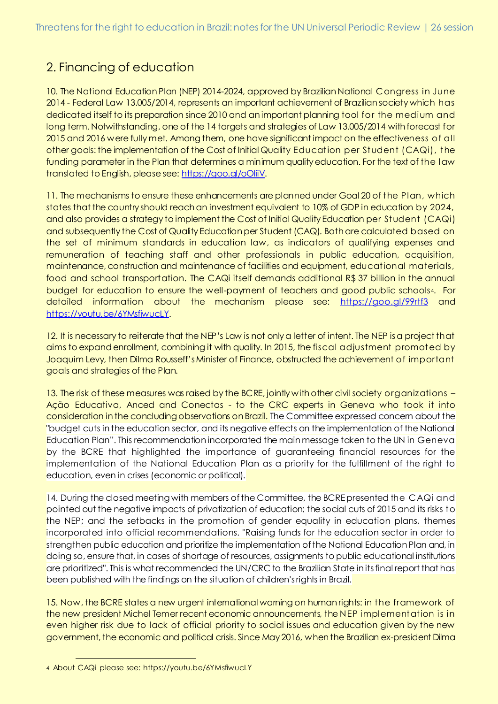# 2. Financing of education

10. The National Education Plan (NEP) 2014-2024, approved by Brazilian National Congress in June 2014 - Federal Law 13.005/2014, represents an important achievement of Brazilian society which has dedicated itself to its preparation since 2010 and an important planning tool for the medium and long term. Notwithstanding, one of the 14 targets and strategies of Law 13.005/2014 with forecast for 2015 and 2016 were fully met. Among them, one have significant impact on the effectiveness of all other goals: the implementation of the Cost of Initial Quality Education per Student (CAQi), the funding parameter in the Plan that determines a minimum quality education. For the text of the law translated to English, please see: https://goo.gl/oOliiV.

11. The mechanisms to ensure these enhancements are planned under Goal 20 of the Plan, which states that the country should reach an investment equivalent to 10% of GDP in education by 2024, and also provides a strategy to implement the Cost of Initial Quality Education per Student (CAQi) and subsequently the Cost of Quality Education per Student (CAQ). Both are calculated based on the set of minimum standards in education law, as indicators of qualifying expenses and remuneration of teaching staff and other professionals in public education, acquisition, maintenance, construction and maintenance of facilities and equipment, educational materials, food and school transportation. The CAQi itself demands additional R\$ 37 billion in the annual budget for education to ensure the well-payment of teachers and good public schools4. For detailed information about the mechanism please see: https://goo.gl/99rtf3 and https://youtu.be/6YMsfiwucLY.

12. It is necessary to reiterate that the NEP's Law is not only a letter of intent. The NEP is a project that aims to expand enrollment, combining it with quality. In 2015, the fiscal adjustment promoted by Joaquim Levy, then Dilma Rousseff's Minister of Finance, obstructed the achievement of important goals and strategies of the Plan.

13. The risk of these measures was raised by the BCRE, jointly with other civil society organizations – Ação Educativa, Anced and Conectas - to the CRC experts in Geneva who took it into consideration in the concluding observations on Brazil. The Committee expressed concern about the "budget cuts in the education sector, and its negative effects on the implementation of the National Education Plan". This recommendation incorporated the main message taken to the UN in Geneva by the BCRE that highlighted the importance of guaranteeing financial resources for the implementation of the National Education Plan as a priority for the fulfillment of the right to education, even in crises (economic or political).

14. During the closed meeting with members of the Committee, the BCRE presented the CAQi and pointed out the negative impacts of privatization of education; the social cuts of 2015 and its risks to the NEP; and the setbacks in the promotion of gender equality in education plans, themes incorporated into official recommendations. "Raising funds for the education sector in order to strengthen public education and prioritize the implementation of the National Education Plan and, in doing so, ensure that, in cases of shortage of resources, assignments to public educational institutions are prioritized". This is what recommended the UN/CRC to the Brazilian State in its final report that has been published with the findings on the situation of children's rights in Brazil.

15. Now, the BCRE states a new urgent international warning on human rights: in the framework of the new president Michel Temer recent economic announcements, the NEP implementation is in even higher risk due to lack of official priority to social issues and education given by the new government, the economic and political crisis. Since May 2016, when the Brazilian ex-president Dilma

 4 About CAQi please see: https://youtu.be/6YMsfiwucLY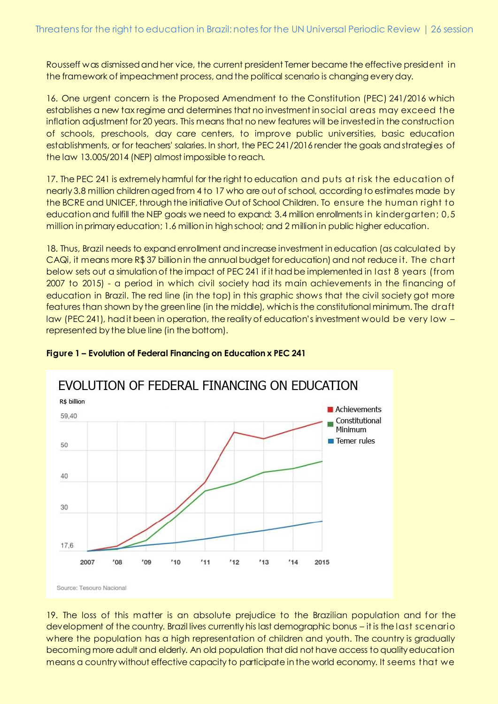Rousseff was dismissed and her vice, the current president Temer became the effective president in the framework of impeachment process, and the political scenario is changing every day.

16. One urgent concern is the Proposed Amendment to the Constitution (PEC) 241/2016 which establishes a new tax regime and determines that no investment in social areas may exceed the inflation adjustment for 20 years. This means that no new features will be invested in the construction of schools, preschools, day care centers, to improve public universities, basic education establishments, or for teachers' salaries. In short, the PEC 241/2016 render the goals and strategies of the law 13.005/2014 (NEP) almost impossible to reach.

17. The PEC 241 is extremely harmful for the right to education and puts at risk the education of nearly 3.8 million children aged from 4 to 17 who are out of school, according to estimates made by the BCRE and UNICEF, through the initiative Out of School Children. To ensure the human right to education and fulfill the NEP goals we need to expand: 3.4 million enrollments in kindergarten; 0,5 million in primary education; 1.6 million in high school; and 2 million in public higher education.

18. Thus, Brazil needs to expand enrollment and increase investment in education (as calculated by  $CAQi$ , it means more R\$ 37 billion in the annual budget for education) and not reduce it. The chart below sets out a simulation of the impact of PEC 241 if it had be implemented in last 8 years (from 2007 to 2015) - a period in which civil society had its main achievements in the financing of education in Brazil. The red line (in the top) in this graphic shows that the civil society got more features than shown by the green line (in the middle), which is the constitutional minimum. The draft law (PEC 241), had it been in operation, the reality of education's investment would be very low – represented by the blue line (in the bottom).



#### **Figure 1 – Evolution of Federal Financing on Education x PEC 241**

19. The loss of this matter is an absolute prejudice to the Brazilian population and for the development of the country. Brazil lives currently his last demographic bonus – it is the last scenario where the population has a high representation of children and youth. The country is gradually becoming more adult and elderly. An old population that did not have access to quality education means a country without effective capacity to participate in the world economy. It seems that we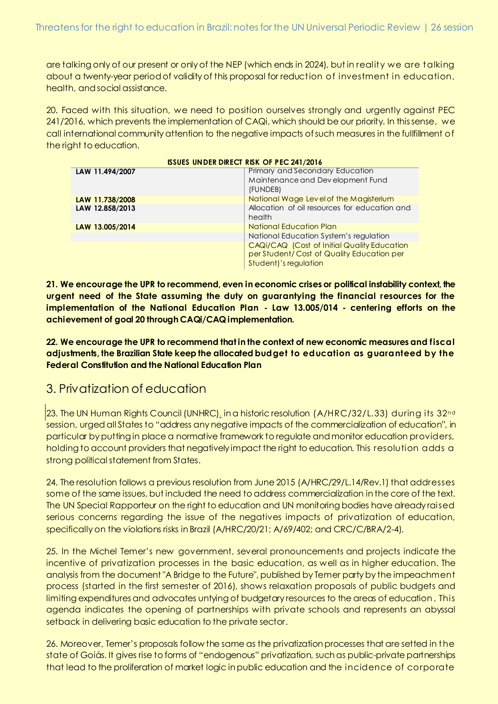are talking only of our present or only of the NEP (which ends in 2024), but in reality we are talking about a twenty-year period of validity of this proposal for reduction of investment in education, health, and social assistance.

20. Faced with this situation, we need to position ourselves strongly and urgently against PEC 241/2016, which prevents the implementation of CAQi, which should be our priority. In this sense, we call international community attention to the negative impacts of such measures in the fullfillment of the right to education.

| <b>ISSUES UNDER DIRECT RISK OF PEC 241/2016</b> |  |  |  |  |  |
|-------------------------------------------------|--|--|--|--|--|
| <b>Primary and Secondary Education</b>          |  |  |  |  |  |
| Maintenance and Development Fund                |  |  |  |  |  |
| (FUNDEB)                                        |  |  |  |  |  |
| National Wage Level of the Magisterium          |  |  |  |  |  |
| Allocation of oil resources for education and   |  |  |  |  |  |
| health                                          |  |  |  |  |  |
| National Education Plan                         |  |  |  |  |  |
| National Education System's regulation          |  |  |  |  |  |
| CAQi/CAQ (Cost of Initial Quality Education     |  |  |  |  |  |
| per Student/Cost of Quality Education per       |  |  |  |  |  |
| Student)'s regulation                           |  |  |  |  |  |
|                                                 |  |  |  |  |  |

**21. We encourage the UPR to recommend, even in economic crises or political instability context, the urgent need of the State assuming the duty on guarantying the financial resources for the implementation of the National Education Plan - Law 13.005/014 - centering efforts on the achievement of goal 20 through CAQi/CAQ implementation.** 

**22. We encourage the UPR to recommend that in the context of new economic measures and fiscal adjustments, the Brazilian State keep the allocated budget to education as guaranteed by the Federal Constitution and the National Education Plan**

## 3. Privatization of education

23. The UN Human Rights Council (UNHRC), in a historic resolution (A/HRC/32/L.33) during its 32<sup>nd</sup> session, urged all States to "address any negative impacts of the commercialization of education", in particular by putting in place a normative framework to regulate and monitor education providers, holding to account providers that negatively impact the right to education. This resolution adds a strong political statement from States.

24. The resolution follows a previous resolution from June 2015 (A/HRC/29/L.14/Rev.1) that addresses some of the same issues, but included the need to address commercialization in the core of the text. The UN Special Rapporteur on the right to education and UN monitoring bodies have already raised serious concerns regarding the issue of the negatives impacts of privatization of education, specifically on the violations risks in Brazil (A/HRC/20/21; A/69/402; and CRC/C/BRA/2-4).

25. In the Michel Temer's new government, several pronouncements and projects indicate the incentive of privatization processes in the basic education, as well as in higher education. The analysis from the document "A Bridge to the Future", published by Temer party by the impeachment process (started in the first semester of 2016), shows relaxation proposals of public budgets and limiting expenditures and advocates untying of budgetary resources to the areas of education . This agenda indicates the opening of partnerships with private schools and represents an abyssal setback in delivering basic education to the private sector.

26. Moreover, Temer's proposals follow the same as the privatization processes that are setted in the state of Goiás. It gives rise to forms of "endogenous" privatization, such as public-private partnerships that lead to the proliferation of market logic in public education and the incidence of corporate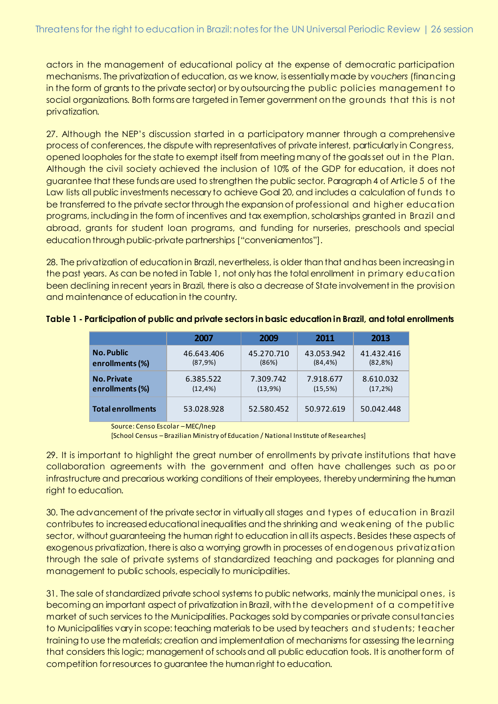actors in the management of educational policy at the expense of democratic participation mechanisms. The privatization of education, as we know, is essentially made by *vouchers* (financing in the form of grants to the private sector) or by outsourcing the public policies management to social organizations. Both forms are targeted in Temer government on the grounds that this is not privatization.

27. Although the NEP's discussion started in a participatory manner through a comprehensive process of conferences, the dispute with representatives of private interest, particularly in Congress, opened loopholes for the state to exempt itself from meeting many of the goals set out in the Plan. Although the civil society achieved the inclusion of 10% of the GDP for education, it does not guarantee that these funds are used to strengthen the public sector. Paragraph 4 of Article 5 of the Law lists all public investments necessary to achieve Goal 20, and includes a calculation of funds to be transferred to the private sector through the expansion of professional and higher education programs, including in the form of incentives and tax exemption, scholarships granted in Brazil and abroad, grants for student loan programs, and funding for nurseries, preschools and special education through public-private partnerships ["conveniamentos"].

28. The privatization of education in Brazil, nevertheless, is older than that and has been increasing in the past years. As can be noted in Table 1, not only has the total enrollment in primary education been declining in recent years in Brazil, there is also a decrease of State involvement in the provision and maintenance of education in the country.

|                          | 2007        | 2009       | 2011        | 2013        |
|--------------------------|-------------|------------|-------------|-------------|
| <b>No. Public</b>        | 46.643.406  | 45.270.710 | 43.053.942  | 41.432.416  |
| enrollments (%)          | (87,9%)     | (86%)      | $(84, 4\%)$ | (82,8%)     |
| <b>No. Private</b>       | 6.385.522   | 7.309.742  | 7.918.677   | 8.610.032   |
| enrollments (%)          | $(12, 4\%)$ | (13,9%)    | (15,5%)     | $(17, 2\%)$ |
| <b>Total enrollments</b> | 53.028.928  | 52.580.452 | 50.972.619  | 50.042.448  |

**Table 1 - Participation of public and private sectors in basic education in Brazil, and total enrollments** 

Source: Censo Escolar –MEC/Inep

[School Census – Brazilian Ministry of Education / National Institute of Researches]

29. It is important to highlight the great number of enrollments by private institutions that have collaboration agreements with the government and often have challenges such as po or infrastructure and precarious working conditions of their employees, thereby undermining the human right to education.

30. The advancement of the private sector in virtually all stages and types of education in Brazil contributes to increased educational inequalities and the shrinking and weakening of the public sector, without guaranteeing the human right to education in all its aspects. Besides these aspects of exogenous privatization, there is also a worrying growth in processes of endogenous privatization through the sale of private systems of standardized teaching and packages for planning and management to public schools, especially to municipalities.

31. The sale of standardized private school systems to public networks, mainly the municipal ones, is becoming an important aspect of privatization in Brazil, with the development of a competitive market of such services to the Municipalities. Packages sold by companies or private consultancies to Municipalities vary in scope: teaching materials to be used by teachers and students; teacher training to use the materials; creation and implementation of mechanisms for assessing the learning that considers this logic; management of schools and all public education tools. It is another form of competition for resources to guarantee the human right to education.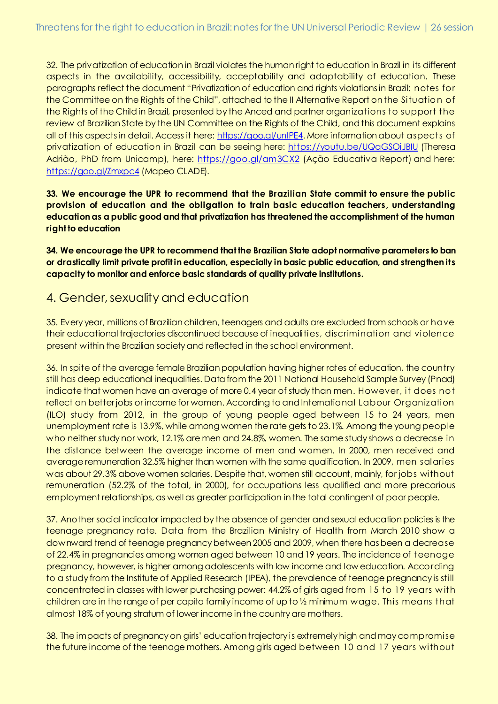32. The privatization of education in Brazil violates the human right to education in Brazil in its different aspects in the availability, accessibility, acceptability and adaptability of education. These paragraphs reflect the document "Privatization of education and rights violations in Brazil: notes for the Committee on the Rights of the Child", attached to the II Alternative Report on the Situation of the Rights of the Child in Brazil, presented by the Anced and partner organizations to support the review of Brazilian State by the UN Committee on the Rights of the Child, and this document explains all of this aspects in detail. Access it here: https://goo.gl/unlPE4. More information about aspects of privatization of education in Brazil can be seeing here: https://youtu.be/UQaGSOiJBIU (Theresa Adrião, PhD from Unicamp), here: https://goo.gl/am3CX2 (Ação Educativa Report) and here: https://goo.gl/Zmxpc4 (Mapeo CLADE).

**33. We encourage the UPR to recommend that the Brazilian State commit to ensure the public provision of education and the obligation to train basic education teachers, understanding education as a public good and that privatization has threatened the accomplishment of the human right to education**

**34. We encourage the UPR to recommend that the Brazilian State adopt normative parameters to ban or drastically limit private profit in education, especially in basic public education, and strengthen its capacity to monitor and enforce basic standards of quality private institutions.**

### 4. Gender, sexuality and education

35. Every year, millions of Brazilian children, teenagers and adults are excluded from schools or have their educational trajectories discontinued because of inequalities, discrimination and violence present within the Brazilian society and reflected in the school environment.

36. In spite of the average female Brazilian population having higher rates of education, the country still has deep educational inequalities. Data from the 2011 National Household Sample Survey (Pnad) indicate that women have an average of more 0.4 year of study than men. However, it does not reflect on better jobs or income for women. According to and International Labour Organization (ILO) study from 2012, in the group of young people aged between 15 to 24 years, men unemployment rate is 13.9%, while among women the rate gets to 23.1%. Among the young people who neither study nor work, 12.1% are men and 24.8%, women. The same study shows a decrease in the distance between the average income of men and women. In 2000, men received and average remuneration 32.5% higher than women with the same qualification. In 2009, men salaries was about 29.3% above women salaries. Despite that, women still account, mainly, for jobs without remuneration (52.2% of the total, in 2000), for occupations less qualified and more precarious employment relationships, as well as greater participation in the total contingent of poor people.

37. Another social indicator impacted by the absence of gender and sexual education policies is the teenage pregnancy rate. Data from the Brazilian Ministry of Health from March 2010 show a downward trend of teenage pregnancy between 2005 and 2009, when there has been a decrease of 22.4% in pregnancies among women aged between 10 and 19 years. The incidence of teenage pregnancy, however, is higher among adolescents with low income and low education. According to a study from the Institute of Applied Research (IPEA), the prevalence of teenage pregnancy is still concentrated in classes with lower purchasing power: 44.2% of girls aged from 15 to 19 years w ith children are in the range of per capita family income of up to ½ minimum wage. This means that almost 18% of young stratum of lower income in the country are mothers.

38. The impacts of pregnancy on girls' education trajectory is extremely high and may compromise the future income of the teenage mothers. Among girls aged between 10 and 17 years without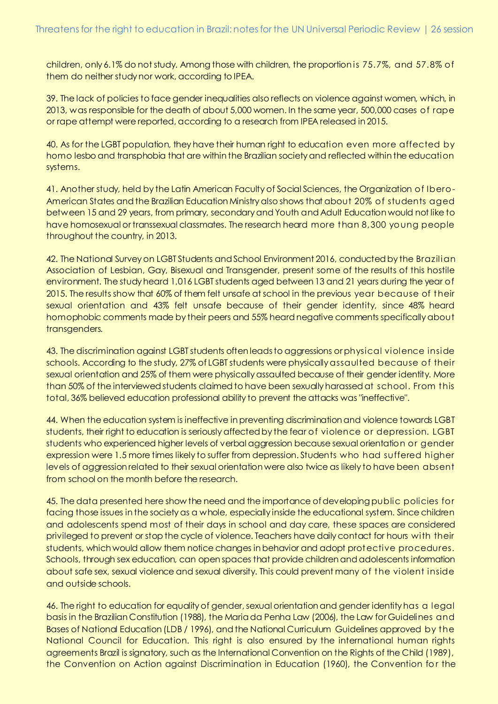children, only 6.1% do not study. Among those with children, the proportion is 75.7%, and 57.8% of them do neither study nor work, according to IPEA.

39. The lack of policies to face gender inequalities also reflects on violence against women, which, in 2013, was responsible for the death of about 5,000 women. In the same year, 500,000 cases of rape or rape attempt were reported, according to a research from IPEA released in 2015.

40. As for the LGBT population, they have their human right to education even more affected by homo lesbo and transphobia that are within the Brazilian society and reflected within the education systems.

41. Another study, held by the Latin American Faculty of Social Sciences, the Organization of Ibero-American States and the Brazilian Education Ministry also shows that about 20% of students aged between 15 and 29 years, from primary, secondary and Youth and Adult Education would not like to have homosexual or transsexual classmates. The research heard more than 8,300 young people throughout the country, in 2013.

42. The National Survey on LGBT Students and School Environment 2016, conducted by the Brazilian Association of Lesbian, Gay, Bisexual and Transgender, present some of the results of this hostile environment. The study heard 1,016 LGBT students aged between 13 and 21 years during the year of 2015. The results show that 60% of them felt unsafe at school in the previous year because of their sexual orientation and 43% felt unsafe because of their gender identity, since 48% heard homophobic comments made by their peers and 55% heard negative comments specifically about transgenders.

43. The discrimination against LGBT students often leads to aggressions or physical violence inside schools. According to the study, 27% of LGBT students were physically assaulted because of their sexual orientation and 25% of them were physically assaulted because of their gender identity. More than 50% of the interviewed students claimed to have been sexually harassed at school. From this total, 36% believed education professional ability to prevent the attacks was "ineffective".

44. When the education system is ineffective in preventing discrimination and violence towards LGBT students, their right to education is seriously affected by the fear of violence or depression. LGBT students who experienced higher levels of verbal aggression because sexual orientation or gender expression were 1.5 more times likely to suffer from depression. Students who had suffered higher levels of aggression related to their sexual orientation were also twice as likely to have been absent from school on the month before the research.

45. The data presented here show the need and the importance of developing public policies for facing those issues in the society as a whole, especially inside the educational system. Since children and adolescents spend most of their days in school and day care, these spaces are considered privileged to prevent or stop the cycle of violence. Teachers have daily contact for hours with their students, which would allow them notice changes in behavior and adopt protective procedures. Schools, through sex education, can open spaces that provide children and adolescents information about safe sex, sexual violence and sexual diversity. This could prevent many of the violent inside and outside schools.

46. The right to education for equality of gender, sexual orientation and gender identity has a legal basis in the Brazilian Constitution (1988), the Maria da Penha Law (2006), the Law for Guidelines and Bases of National Education (LDB / 1996), and the National Curriculum Guidelines approved by the National Council for Education. This right is also ensured by the international human rights agreements Brazil is signatory, such as the International Convention on the Rights of the Child (1989), the Convention on Action against Discrimination in Education (1960), the Convention for the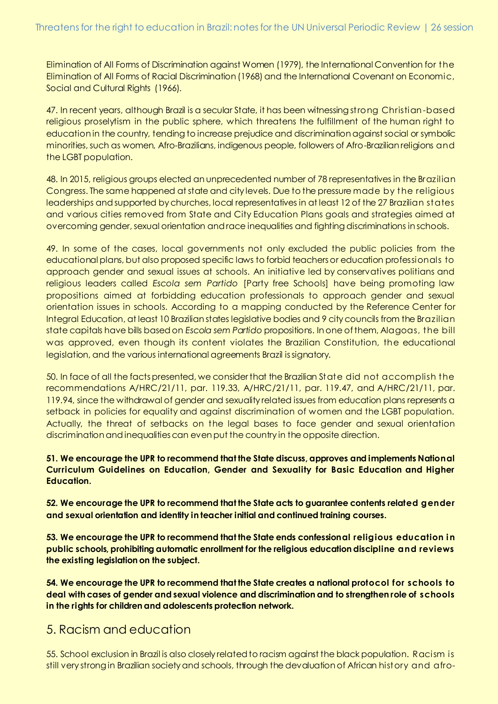Elimination of All Forms of Discrimination against Women (1979), the International Convention for the Elimination of All Forms of Racial Discrimination (1968) and the International Covenant on Economic, Social and Cultural Rights (1966).

47. In recent years, although Brazil is a secular State, it has been witnessing strong Christian-based religious proselytism in the public sphere, which threatens the fulfillment of the human right to education in the country, tending to increase prejudice and discrimination against social or symbolic minorities, such as women, Afro-Brazilians, indigenous people, followers of Afro-Brazilian religions and the LGBT population.

48. In 2015, religious groups elected an unprecedented number of 78 representatives in the Brazilian Congress. The same happened at state and city levels. Due to the pressure made by the religious leaderships and supported by churches, local representatives in at least 12 of the 27 Brazilian states and various cities removed from State and City Education Plans goals and strategies aimed at overcoming gender, sexual orientation and race inequalities and fighting discriminations in schools.

49. In some of the cases, local governments not only excluded the public policies from the educational plans, but also proposed specific laws to forbid teachers or education professionals to approach gender and sexual issues at schools. An initiative led by conservatives politians and religious leaders called *Escola sem Partido* [Party free Schools] have being promoting law propositions aimed at forbidding education professionals to approach gender and sexual orientation issues in schools. According to a mapping conducted by the Reference Center for Integral Education, at least 10 Brazilian states legislative bodies and 9 city councils from the Brazilian state capitals have bills based on *Escola sem Partido* propositions. In one of them, Alagoas, the bill was approved, even though its content violates the Brazilian Constitution, the educational legislation, and the various international agreements Brazil is signatory.

50. In face of all the facts presented, we consider that the Brazilian State did not accomplish the recommendations A/HRC/21/11, par. 119.33, A/HRC/21/11, par. 119.47, and A/HRC/21/11, par. 119.94, since the withdrawal of gender and sexuality related issues from education plans represents a setback in policies for equality and against discrimination of women and the LGBT population. Actually, the threat of setbacks on the legal bases to face gender and sexual orientation discrimination and inequalities can even put the country in the opposite direction.

#### **51. We encourage the UPR to recommend that the State discuss, approves and implements National Curriculum Guidelines on Education, Gender and Sexuality for Basic Education and Higher Education.**

**52. We encourage the UPR to recommend that the State acts to guarantee contents related gender and sexual orientation and identity in teacher initial and continued training courses.** 

**53. We encourage the UPR to recommend that the State ends confessional religious education i n public schools, prohibiting automatic enrollment for the religious education discipline and reviews the existing legislation on the subject.**

**54. We encourage the UPR to recommend that the State creates a national protocol for schools to deal with cases of gender and sexual violence and discrimination and to strengthen role of schools in the rights for children and adolescents protection network.**

#### 5. Racism and education

55. School exclusion in Brazil is also closely related to racism against the black population. Racism is still very strong in Brazilian society and schools, through the devaluation of African history and afro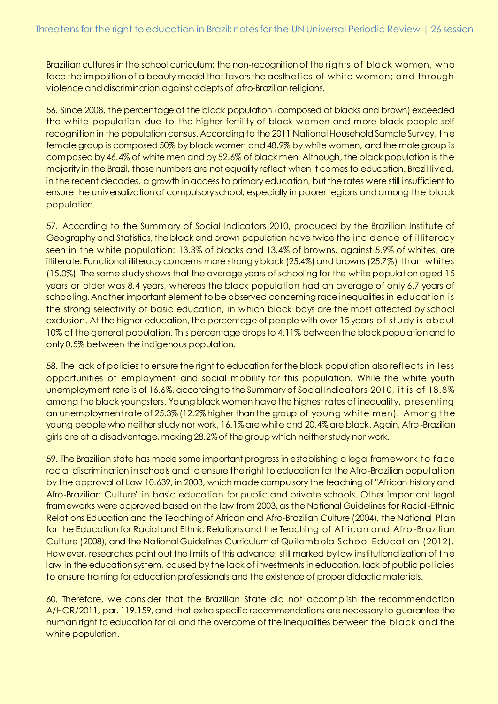Brazilian cultures in the school curriculum; the non-recognition of the rights of black women, who face the imposition of a beauty model that favors the aesthetics of white women; and through violence and discrimination against adepts of afro-Brazilian religions.

56. Since 2008, the percentage of the black population (composed of blacks and brown) exceeded the white population due to the higher fertility of black women and more black people self recognition in the population census. According to the 2011 National Household Sample Survey, the female group is composed 50% by black women and 48.9% by white women, and the male group is composed by 46.4% of white men and by 52.6% of black men. Although, the black population is the majority in the Brazil, those numbers are not equality reflect when it comes to education. Brazil lived, in the recent decades, a growth in access to primary education, but the rates were still insufficient to ensure the universalization of compulsory school, especially in poorer regions and among the black population.

57. According to the Summary of Social Indicators 2010, produced by the Brazilian Institute of Geography and Statistics, the black and brown population have twice the incidence of illiteracy seen in the white population: 13.3% of blacks and 13.4% of browns, against 5.9% of whites, are illiterate. Functional illiteracy concerns more strongly black (25.4%) and browns (25.7%) than whites (15.0%). The same study shows that the average years of schooling for the white population aged 15 years or older was 8.4 years, whereas the black population had an average of only 6.7 years of schooling. Another important element to be observed concerning race inequalities in education is the strong selectivity of basic education, in which black boys are the most affected by school exclusion. At the higher education, the percentage of people with over 15 years of study is about 10% of the general population. This percentage drops to 4.11% between the black population and to only 0.5% between the indigenous population.

58. The lack of policies to ensure the right to education for the black population also reflects in less opportunities of employment and social mobility for this population. While the white youth unemployment rate is of 16.6%, according to the Summary of Social Indicators 2010, it is of 18.8% among the black youngsters. Young black women have the highest rates of inequality, presenting an unemployment rate of 25.3% (12.2% higher than the group of young white men). Among the young people who neither study nor work, 16.1% are white and 20.4% are black. Again, Afro-Brazilian girls are at a disadvantage, making 28.2% of the group which neither study nor work.

59. The Brazilian state has made some important progress in establishing a legal framework to face racial discrimination in schools and to ensure the right to education for the Afro-Brazilian population by the approval of Law 10.639, in 2003, which made compulsory the teaching of "African history and Afro-Brazilian Culture" in basic education for public and private schools. Other important legal frameworks were approved based on the law from 2003, as the National Guidelines for Racial-Ethnic Relations Education and the Teaching of African and Afro-Brazilian Culture (2004), the National Plan for the Education for Racial and Ethnic Relations and the Teaching of African and Afro-Brazilian Culture (2008), and the National Guidelines Curriculum of Quilombola School Education (2012). However, researches point out the limits of this advance: still marked by low institutionalization of the law in the education system, caused by the lack of investments in education, lack of public policies to ensure training for education professionals and the existence of proper didactic materials.

60. Therefore, we consider that the Brazilian State did not accomplish the recommendation A/HCR/2011, par. 119.159, and that extra specific recommendations are necessary to guarantee the human right to education for all and the overcome of the inequalities between the black and the white population.